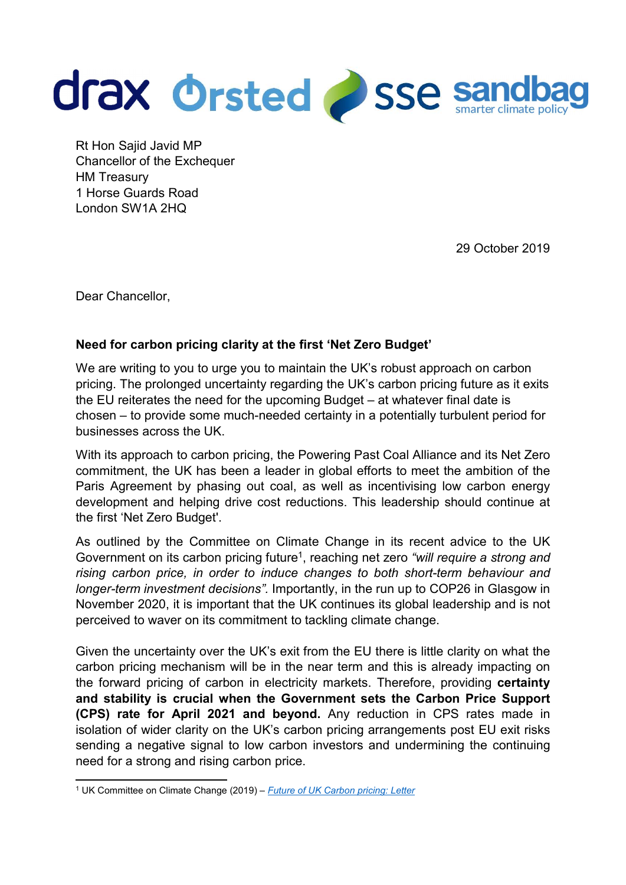

Rt Hon Sajid Javid MP Chancellor of the Exchequer HM Treasury 1 Horse Guards Road London SW1A 2HQ

29 October 2019

Dear Chancellor,

## Need for carbon pricing clarity at the first 'Net Zero Budget'

We are writing to you to urge you to maintain the UK's robust approach on carbon pricing. The prolonged uncertainty regarding the UK's carbon pricing future as it exits the EU reiterates the need for the upcoming Budget – at whatever final date is chosen – to provide some much-needed certainty in a potentially turbulent period for businesses across the UK.

With its approach to carbon pricing, the Powering Past Coal Alliance and its Net Zero commitment, the UK has been a leader in global efforts to meet the ambition of the Paris Agreement by phasing out coal, as well as incentivising low carbon energy development and helping drive cost reductions. This leadership should continue at the first 'Net Zero Budget'.

As outlined by the Committee on Climate Change in its recent advice to the UK Government on its carbon pricing future<sup>1</sup>, reaching net zero "will require a strong and rising carbon price, in order to induce changes to both short-term behaviour and longer-term investment decisions". Importantly, in the run up to COP26 in Glasgow in November 2020, it is important that the UK continues its global leadership and is not perceived to waver on its commitment to tackling climate change.

Given the uncertainty over the UK's exit from the EU there is little clarity on what the carbon pricing mechanism will be in the near term and this is already impacting on the forward pricing of carbon in electricity markets. Therefore, providing certainty and stability is crucial when the Government sets the Carbon Price Support (CPS) rate for April 2021 and beyond. Any reduction in CPS rates made in isolation of wider clarity on the UK's carbon pricing arrangements post EU exit risks sending a negative signal to low carbon investors and undermining the continuing need for a strong and rising carbon price.

 1 UK Committee on Climate Change (2019) – Future of UK Carbon pricing: Letter